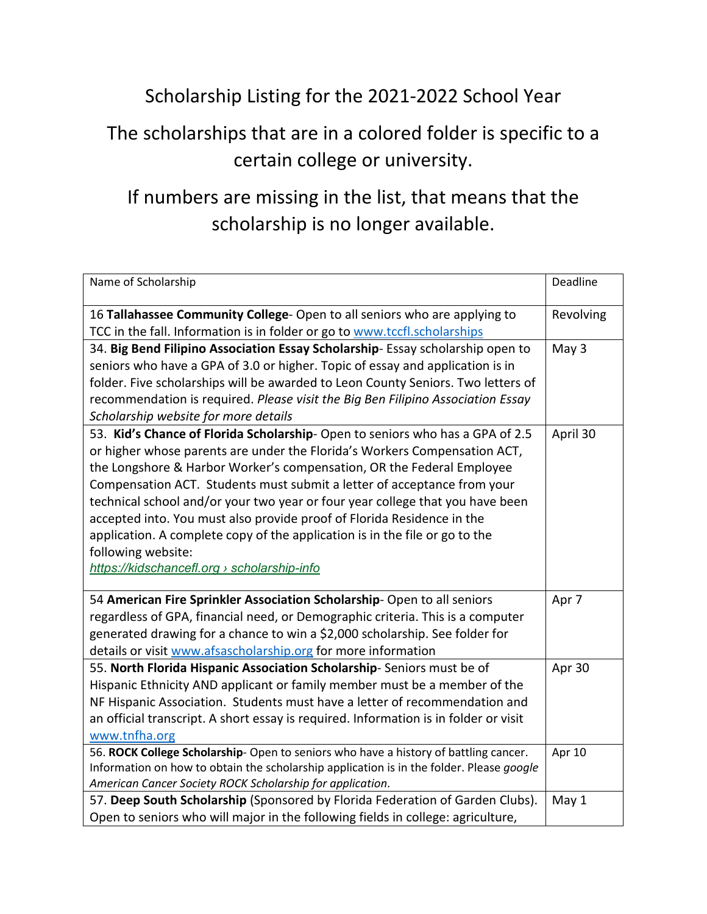## Scholarship Listing for the 2021-2022 School Year The scholarships that are in a colored folder is specific to a

## certain college or university.

## If numbers are missing in the list, that means that the scholarship is no longer available.

| Name of Scholarship                                                                      | Deadline  |
|------------------------------------------------------------------------------------------|-----------|
| 16 Tallahassee Community College- Open to all seniors who are applying to                | Revolving |
| TCC in the fall. Information is in folder or go to www.tccfl.scholarships                |           |
| 34. Big Bend Filipino Association Essay Scholarship-Essay scholarship open to            | May 3     |
| seniors who have a GPA of 3.0 or higher. Topic of essay and application is in            |           |
| folder. Five scholarships will be awarded to Leon County Seniors. Two letters of         |           |
| recommendation is required. Please visit the Big Ben Filipino Association Essay          |           |
| Scholarship website for more details                                                     |           |
| 53. Kid's Chance of Florida Scholarship-Open to seniors who has a GPA of 2.5             | April 30  |
| or higher whose parents are under the Florida's Workers Compensation ACT,                |           |
| the Longshore & Harbor Worker's compensation, OR the Federal Employee                    |           |
| Compensation ACT. Students must submit a letter of acceptance from your                  |           |
| technical school and/or your two year or four year college that you have been            |           |
| accepted into. You must also provide proof of Florida Residence in the                   |           |
| application. A complete copy of the application is in the file or go to the              |           |
| following website:                                                                       |           |
| https://kidschancefl.org > scholarship-info                                              |           |
| 54 American Fire Sprinkler Association Scholarship-Open to all seniors                   | Apr 7     |
| regardless of GPA, financial need, or Demographic criteria. This is a computer           |           |
| generated drawing for a chance to win a \$2,000 scholarship. See folder for              |           |
| details or visit www.afsascholarship.org for more information                            |           |
| 55. North Florida Hispanic Association Scholarship-Seniors must be of                    | Apr 30    |
| Hispanic Ethnicity AND applicant or family member must be a member of the                |           |
| NF Hispanic Association. Students must have a letter of recommendation and               |           |
| an official transcript. A short essay is required. Information is in folder or visit     |           |
| www.tnfha.org                                                                            |           |
| 56. ROCK College Scholarship-Open to seniors who have a history of battling cancer.      | Apr 10    |
| Information on how to obtain the scholarship application is in the folder. Please google |           |
| American Cancer Society ROCK Scholarship for application.                                |           |
| 57. Deep South Scholarship (Sponsored by Florida Federation of Garden Clubs).            | May 1     |
| Open to seniors who will major in the following fields in college: agriculture,          |           |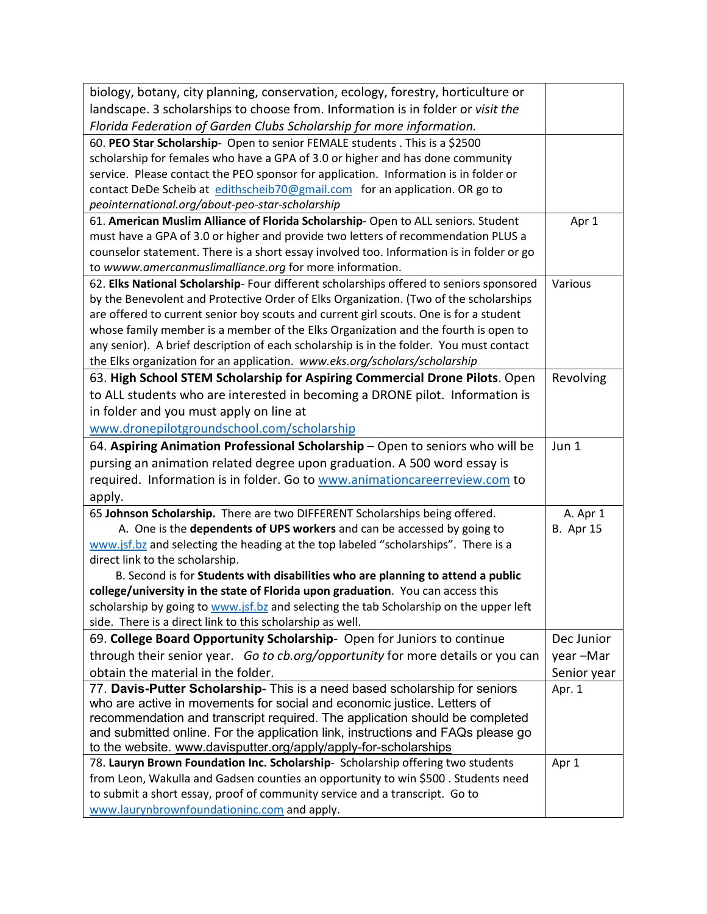| biology, botany, city planning, conservation, ecology, forestry, horticulture or         |                  |
|------------------------------------------------------------------------------------------|------------------|
| landscape. 3 scholarships to choose from. Information is in folder or visit the          |                  |
| Florida Federation of Garden Clubs Scholarship for more information.                     |                  |
| 60. PEO Star Scholarship- Open to senior FEMALE students . This is a \$2500              |                  |
| scholarship for females who have a GPA of 3.0 or higher and has done community           |                  |
| service. Please contact the PEO sponsor for application. Information is in folder or     |                  |
| contact DeDe Scheib at edithscheib70@gmail.com for an application. OR go to              |                  |
| peointernational.org/about-peo-star-scholarship                                          |                  |
| 61. American Muslim Alliance of Florida Scholarship-Open to ALL seniors. Student         | Apr 1            |
| must have a GPA of 3.0 or higher and provide two letters of recommendation PLUS a        |                  |
| counselor statement. There is a short essay involved too. Information is in folder or go |                  |
| to wwww.amercanmuslimalliance.org for more information.                                  |                  |
| 62. Elks National Scholarship- Four different scholarships offered to seniors sponsored  | Various          |
| by the Benevolent and Protective Order of Elks Organization. (Two of the scholarships    |                  |
| are offered to current senior boy scouts and current girl scouts. One is for a student   |                  |
| whose family member is a member of the Elks Organization and the fourth is open to       |                  |
| any senior). A brief description of each scholarship is in the folder. You must contact  |                  |
| the Elks organization for an application. www.eks.org/scholars/scholarship               |                  |
| 63. High School STEM Scholarship for Aspiring Commercial Drone Pilots. Open              | Revolving        |
| to ALL students who are interested in becoming a DRONE pilot. Information is             |                  |
| in folder and you must apply on line at                                                  |                  |
| www.dronepilotgroundschool.com/scholarship                                               |                  |
| 64. Aspiring Animation Professional Scholarship - Open to seniors who will be            | Jun 1            |
| pursing an animation related degree upon graduation. A 500 word essay is                 |                  |
| required. Information is in folder. Go to www.animationcareerreview.com to               |                  |
| apply.                                                                                   |                  |
| 65 Johnson Scholarship. There are two DIFFERENT Scholarships being offered.              | A. Apr 1         |
| A. One is the dependents of UPS workers and can be accessed by going to                  | <b>B.</b> Apr 15 |
| www.jsf.bz and selecting the heading at the top labeled "scholarships". There is a       |                  |
| direct link to the scholarship.                                                          |                  |
| B. Second is for Students with disabilities who are planning to attend a public          |                  |
| college/university in the state of Florida upon graduation. You can access this          |                  |
| scholarship by going to www.jsf.bz and selecting the tab Scholarship on the upper left   |                  |
| side. There is a direct link to this scholarship as well.                                |                  |
| 69. College Board Opportunity Scholarship- Open for Juniors to continue                  | Dec Junior       |
| through their senior year. Go to cb.org/opportunity for more details or you can          | year-Mar         |
| obtain the material in the folder.                                                       | Senior year      |
| 77. Davis-Putter Scholarship- This is a need based scholarship for seniors               | Apr. 1           |
| who are active in movements for social and economic justice. Letters of                  |                  |
| recommendation and transcript required. The application should be completed              |                  |
| and submitted online. For the application link, instructions and FAQs please go          |                  |
| to the website. www.davisputter.org/apply/apply-for-scholarships                         |                  |
| 78. Lauryn Brown Foundation Inc. Scholarship- Scholarship offering two students          | Apr 1            |
| from Leon, Wakulla and Gadsen counties an opportunity to win \$500. Students need        |                  |
| to submit a short essay, proof of community service and a transcript. Go to              |                  |
| www.laurynbrownfoundationinc.com and apply.                                              |                  |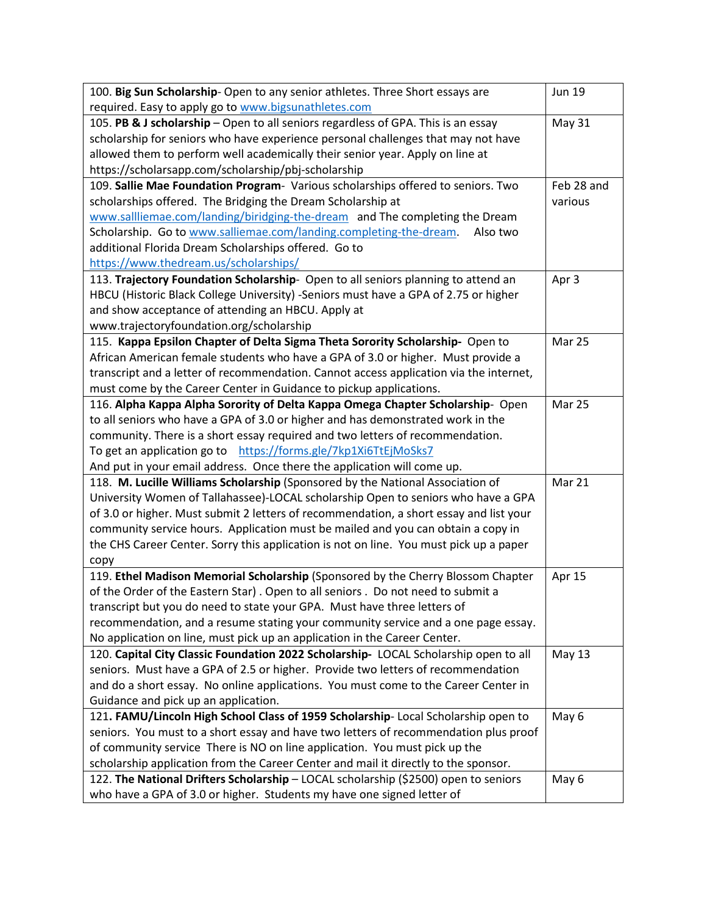| 100. Big Sun Scholarship- Open to any senior athletes. Three Short essays are          | <b>Jun 19</b> |
|----------------------------------------------------------------------------------------|---------------|
| required. Easy to apply go to www.bigsunathletes.com                                   |               |
| 105. PB & J scholarship - Open to all seniors regardless of GPA. This is an essay      | <b>May 31</b> |
| scholarship for seniors who have experience personal challenges that may not have      |               |
| allowed them to perform well academically their senior year. Apply on line at          |               |
| https://scholarsapp.com/scholarship/pbj-scholarship                                    |               |
| 109. Sallie Mae Foundation Program- Various scholarships offered to seniors. Two       | Feb 28 and    |
| scholarships offered. The Bridging the Dream Scholarship at                            | various       |
| www.sallliemae.com/landing/biridging-the-dream and The completing the Dream            |               |
| Scholarship. Go to www.salliemae.com/landing.completing-the-dream.<br>Also two         |               |
| additional Florida Dream Scholarships offered. Go to                                   |               |
| https://www.thedream.us/scholarships/                                                  |               |
| 113. Trajectory Foundation Scholarship- Open to all seniors planning to attend an      | Apr 3         |
| HBCU (Historic Black College University) -Seniors must have a GPA of 2.75 or higher    |               |
| and show acceptance of attending an HBCU. Apply at                                     |               |
| www.trajectoryfoundation.org/scholarship                                               |               |
| 115. Kappa Epsilon Chapter of Delta Sigma Theta Sorority Scholarship- Open to          | Mar 25        |
| African American female students who have a GPA of 3.0 or higher. Must provide a       |               |
| transcript and a letter of recommendation. Cannot access application via the internet, |               |
| must come by the Career Center in Guidance to pickup applications.                     |               |
| 116. Alpha Kappa Alpha Sorority of Delta Kappa Omega Chapter Scholarship- Open         | Mar 25        |
| to all seniors who have a GPA of 3.0 or higher and has demonstrated work in the        |               |
| community. There is a short essay required and two letters of recommendation.          |               |
| To get an application go to https://forms.gle/7kp1Xi6TtEjMoSks7                        |               |
| And put in your email address. Once there the application will come up.                |               |
| 118. M. Lucille Williams Scholarship (Sponsored by the National Association of         | Mar 21        |
| University Women of Tallahassee)-LOCAL scholarship Open to seniors who have a GPA      |               |
| of 3.0 or higher. Must submit 2 letters of recommendation, a short essay and list your |               |
| community service hours. Application must be mailed and you can obtain a copy in       |               |
| the CHS Career Center. Sorry this application is not on line. You must pick up a paper |               |
| copy                                                                                   |               |
| 119. Ethel Madison Memorial Scholarship (Sponsored by the Cherry Blossom Chapter       | Apr 15        |
| of the Order of the Eastern Star). Open to all seniors . Do not need to submit a       |               |
| transcript but you do need to state your GPA. Must have three letters of               |               |
| recommendation, and a resume stating your community service and a one page essay.      |               |
| No application on line, must pick up an application in the Career Center.              |               |
| 120. Capital City Classic Foundation 2022 Scholarship-LOCAL Scholarship open to all    | <b>May 13</b> |
| seniors. Must have a GPA of 2.5 or higher. Provide two letters of recommendation       |               |
| and do a short essay. No online applications. You must come to the Career Center in    |               |
| Guidance and pick up an application.                                                   |               |
|                                                                                        |               |
| 121. FAMU/Lincoln High School Class of 1959 Scholarship- Local Scholarship open to     | May 6         |
| seniors. You must to a short essay and have two letters of recommendation plus proof   |               |
| of community service There is NO on line application. You must pick up the             |               |
| scholarship application from the Career Center and mail it directly to the sponsor.    |               |
| 122. The National Drifters Scholarship - LOCAL scholarship (\$2500) open to seniors    | May 6         |
| who have a GPA of 3.0 or higher. Students my have one signed letter of                 |               |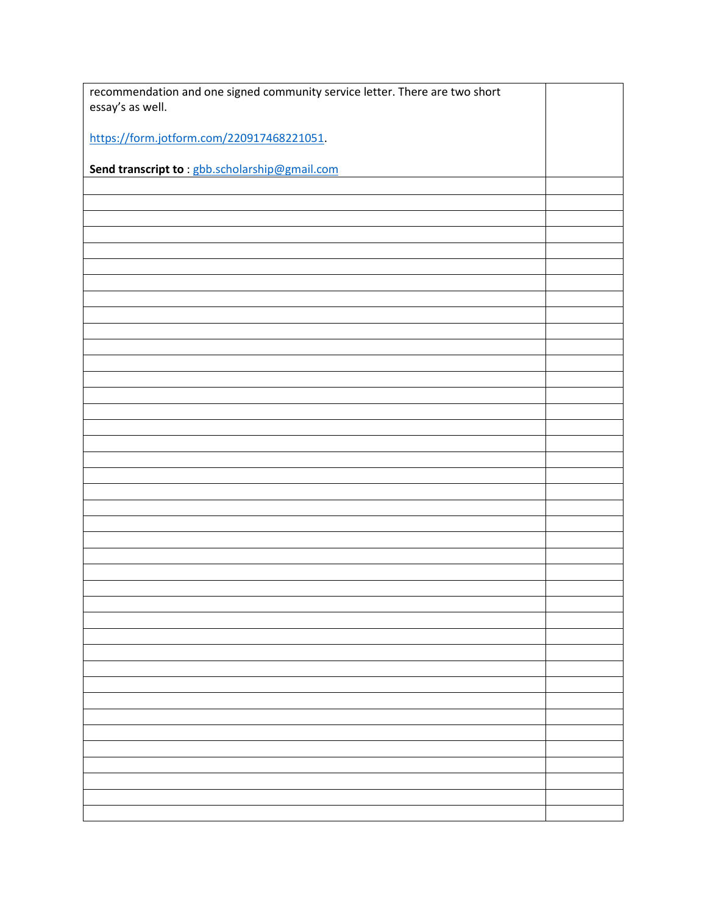| recommendation and one signed community service letter. There are two short |  |
|-----------------------------------------------------------------------------|--|
| essay's as well.                                                            |  |
| https://form.jotform.com/220917468221051                                    |  |
|                                                                             |  |
| Send transcript to: gbb.scholarship@gmail.com                               |  |
|                                                                             |  |
|                                                                             |  |
|                                                                             |  |
|                                                                             |  |
|                                                                             |  |
|                                                                             |  |
|                                                                             |  |
|                                                                             |  |
|                                                                             |  |
|                                                                             |  |
|                                                                             |  |
|                                                                             |  |
|                                                                             |  |
|                                                                             |  |
|                                                                             |  |
|                                                                             |  |
|                                                                             |  |
|                                                                             |  |
|                                                                             |  |
|                                                                             |  |
|                                                                             |  |
|                                                                             |  |
|                                                                             |  |
|                                                                             |  |
|                                                                             |  |
|                                                                             |  |
|                                                                             |  |
|                                                                             |  |
|                                                                             |  |
|                                                                             |  |
|                                                                             |  |
|                                                                             |  |
|                                                                             |  |
|                                                                             |  |
|                                                                             |  |
|                                                                             |  |
|                                                                             |  |